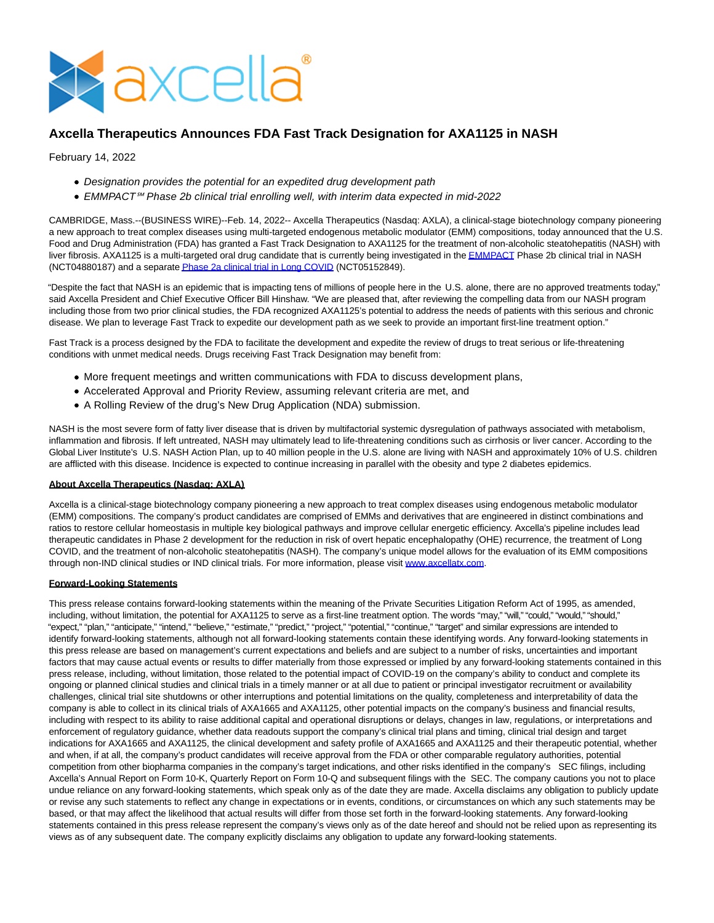

## **Axcella Therapeutics Announces FDA Fast Track Designation for AXA1125 in NASH**

## February 14, 2022

- Designation provides the potential for an expedited drug development path
- EMMPACT℠ Phase 2b clinical trial enrolling well, with interim data expected in mid-2022

CAMBRIDGE, Mass.--(BUSINESS WIRE)--Feb. 14, 2022-- Axcella Therapeutics (Nasdaq: AXLA), a clinical-stage biotechnology company pioneering a new approach to treat complex diseases using multi-targeted endogenous metabolic modulator (EMM) compositions, today announced that the U.S. Food and Drug Administration (FDA) has granted a Fast Track Designation to AXA1125 for the treatment of non-alcoholic steatohepatitis (NASH) with liver fibrosis. AXA1125 is a multi-targeted oral drug candidate that is currently being investigated in the **EMMPACT** Phase 2b clinical trial in NASH (NCT04880187) and a separat[e Phase 2a clinical trial in Long COVID \(](https://cts.businesswire.com/ct/CT?id=smartlink&url=https%3A%2F%2Fir.axcellatx.com%2Fnews-releases%2Fnews-release-details%2Faxcella-therapeutics-announces-initiation-axa1125-long-covid&esheet=52578181&newsitemid=20220211005373&lan=en-US&anchor=Phase+2a+clinical+trial+in+Long+COVID&index=2&md5=77fc7c44902999bfb8791d7bb2cc0e50)NCT05152849).

"Despite the fact that NASH is an epidemic that is impacting tens of millions of people here in the U.S. alone, there are no approved treatments today," said Axcella President and Chief Executive Officer Bill Hinshaw. "We are pleased that, after reviewing the compelling data from our NASH program including those from two prior clinical studies, the FDA recognized AXA1125's potential to address the needs of patients with this serious and chronic disease. We plan to leverage Fast Track to expedite our development path as we seek to provide an important first-line treatment option."

Fast Track is a process designed by the FDA to facilitate the development and expedite the review of drugs to treat serious or life-threatening conditions with unmet medical needs. Drugs receiving Fast Track Designation may benefit from:

- More frequent meetings and written communications with FDA to discuss development plans,
- Accelerated Approval and Priority Review, assuming relevant criteria are met, and
- A Rolling Review of the drug's New Drug Application (NDA) submission.

NASH is the most severe form of fatty liver disease that is driven by multifactorial systemic dysregulation of pathways associated with metabolism, inflammation and fibrosis. If left untreated, NASH may ultimately lead to life-threatening conditions such as cirrhosis or liver cancer. According to the Global Liver Institute's U.S. NASH Action Plan, up to 40 million people in the U.S. alone are living with NASH and approximately 10% of U.S. children are afflicted with this disease. Incidence is expected to continue increasing in parallel with the obesity and type 2 diabetes epidemics.

## **About Axcella Therapeutics (Nasdaq: AXLA)**

Axcella is a clinical-stage biotechnology company pioneering a new approach to treat complex diseases using endogenous metabolic modulator (EMM) compositions. The company's product candidates are comprised of EMMs and derivatives that are engineered in distinct combinations and ratios to restore cellular homeostasis in multiple key biological pathways and improve cellular energetic efficiency. Axcella's pipeline includes lead therapeutic candidates in Phase 2 development for the reduction in risk of overt hepatic encephalopathy (OHE) recurrence, the treatment of Long COVID, and the treatment of non-alcoholic steatohepatitis (NASH). The company's unique model allows for the evaluation of its EMM compositions through non-IND clinical studies or IND clinical trials. For more information, please visit [www.axcellatx.com.](https://cts.businesswire.com/ct/CT?id=smartlink&url=http%3A%2F%2Fwww.axcellatx.com&esheet=52578181&newsitemid=20220211005373&lan=en-US&anchor=www.axcellatx.com&index=3&md5=936317c4a801d45080343f9df42c470a)

## **Forward-Looking Statements**

This press release contains forward-looking statements within the meaning of the Private Securities Litigation Reform Act of 1995, as amended, including, without limitation, the potential for AXA1125 to serve as a first-line treatment option. The words "may," "will," "could," "would," "should," "expect," "plan," "anticipate," "intend," "believe," "estimate," "predict," "project," "potential," "continue," "target" and similar expressions are intended to identify forward-looking statements, although not all forward-looking statements contain these identifying words. Any forward-looking statements in this press release are based on management's current expectations and beliefs and are subject to a number of risks, uncertainties and important factors that may cause actual events or results to differ materially from those expressed or implied by any forward-looking statements contained in this press release, including, without limitation, those related to the potential impact of COVID-19 on the company's ability to conduct and complete its ongoing or planned clinical studies and clinical trials in a timely manner or at all due to patient or principal investigator recruitment or availability challenges, clinical trial site shutdowns or other interruptions and potential limitations on the quality, completeness and interpretability of data the company is able to collect in its clinical trials of AXA1665 and AXA1125, other potential impacts on the company's business and financial results, including with respect to its ability to raise additional capital and operational disruptions or delays, changes in law, regulations, or interpretations and enforcement of regulatory guidance, whether data readouts support the company's clinical trial plans and timing, clinical trial design and target indications for AXA1665 and AXA1125, the clinical development and safety profile of AXA1665 and AXA1125 and their therapeutic potential, whether and when, if at all, the company's product candidates will receive approval from the FDA or other comparable regulatory authorities, potential competition from other biopharma companies in the company's target indications, and other risks identified in the company's SEC filings, including Axcella's Annual Report on Form 10-K, Quarterly Report on Form 10-Q and subsequent filings with the SEC. The company cautions you not to place undue reliance on any forward-looking statements, which speak only as of the date they are made. Axcella disclaims any obligation to publicly update or revise any such statements to reflect any change in expectations or in events, conditions, or circumstances on which any such statements may be based, or that may affect the likelihood that actual results will differ from those set forth in the forward-looking statements. Any forward-looking statements contained in this press release represent the company's views only as of the date hereof and should not be relied upon as representing its views as of any subsequent date. The company explicitly disclaims any obligation to update any forward-looking statements.